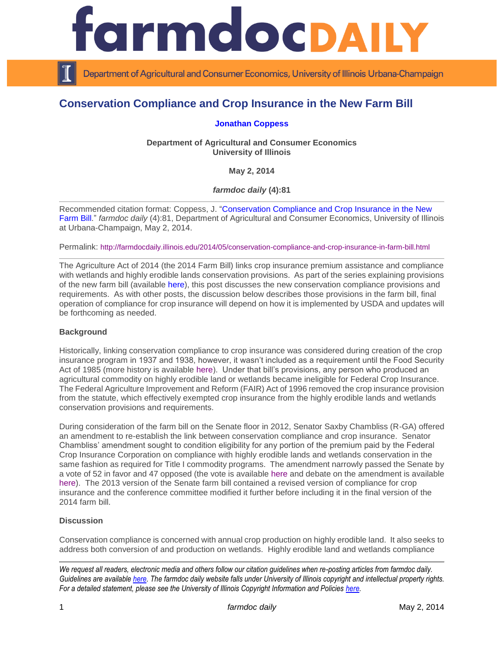

Department of Agricultural and Consumer Economics, University of Illinois Urbana-Champaign

# **Conservation Compliance and Crop Insurance in the New Farm Bill**

#### **[Jonathan Coppess](http://illinois.edu/ds/detail?userId=jwcoppes&search_type=all&search=*%20coppess&from_result_list=true&skinId=0&sub=)**

**Department of Agricultural and Consumer Economics University of Illinois**

**May 2, 2014**

*farmdoc daily* **(4):81**

Recommended citation format: Coppess, J. ["Conservation Compliance and Crop Insurance in the New](http://farmdocdaily.illinois.edu/2014/05/conservation-compliance-and-crop-insurance-in-farm-bill.html)  [Farm Bill.](http://farmdocdaily.illinois.edu/2014/05/conservation-compliance-and-crop-insurance-in-farm-bill.html)" *farmdoc daily* (4):81, Department of Agricultural and Consumer Economics, University of Illinois at Urbana-Champaign, May 2, 2014.

Permalink: <http://farmdocdaily.illinois.edu/2014/05/conservation-compliance-and-crop-insurance-in-farm-bill.html>

The Agriculture Act of 2014 (the 2014 Farm Bill) links crop insurance premium assistance and compliance with wetlands and highly erodible lands conservation provisions. As part of the series explaining provisions of the new farm bill (available [here\)](http://farmdocdaily.illinois.edu/areas/2014_farm_bill/), this post discusses the new conservation compliance provisions and requirements. As with other posts, the discussion below describes those provisions in the farm bill, final operation of compliance for crop insurance will depend on how it is implemented by USDA and updates will be forthcoming as needed.

#### **Background**

Historically, linking conservation compliance to crop insurance was considered during creation of the crop insurance program in 1937 and 1938, however, it wasn't included as a requirement until the Food Security Act of 1985 (more history is available [here\)](http://www.jstor.org/stable/3742393). Under that bill's provisions, any person who produced an agricultural commodity on highly erodible land or wetlands became ineligible for Federal Crop Insurance. The Federal Agriculture Improvement and Reform (FAIR) Act of 1996 removed the crop insurance provision from the statute, which effectively exempted crop insurance from the highly erodible lands and wetlands conservation provisions and requirements.

During consideration of the farm bill on the Senate floor in 2012, Senator Saxby Chambliss (R-GA) offered an amendment to re-establish the link between conservation compliance and crop insurance. Senator Chambliss' amendment sought to condition eligibility for any portion of the premium paid by the Federal Crop Insurance Corporation on compliance with highly erodible lands and wetlands conservation in the same fashion as required for Title I commodity programs. The amendment narrowly passed the Senate by a vote of 52 in favor and 47 opposed (the vote is available [here](https://www.senate.gov/legislative/LIS/roll_call_lists/roll_call_vote_cfm.cfm?congress=112&session=2&vote=00155) and debate on the amendment is available [here\)](http://thomas.loc.gov/cgi-bin/query/F?r112:1:./temp/~r112Z30yXw:e211017:). The 2013 version of the Senate farm bill contained a revised version of compliance for crop insurance and the conference committee modified it further before including it in the final version of the 2014 farm bill.

## **Discussion**

Conservation compliance is concerned with annual crop production on highly erodible land. It also seeks to address both conversion of and production on wetlands. Highly erodible land and wetlands compliance

*We request all readers, electronic media and others follow our citation guidelines when re-posting articles from farmdoc daily. Guidelines are available [here.](http://farmdocdaily.illinois.edu/citationguide.html) The farmdoc daily website falls under University of Illinois copyright and intellectual property rights. For a detailed statement, please see the University of Illinois Copyright Information and Policies [here.](http://www.cio.illinois.edu/policies/copyright/)*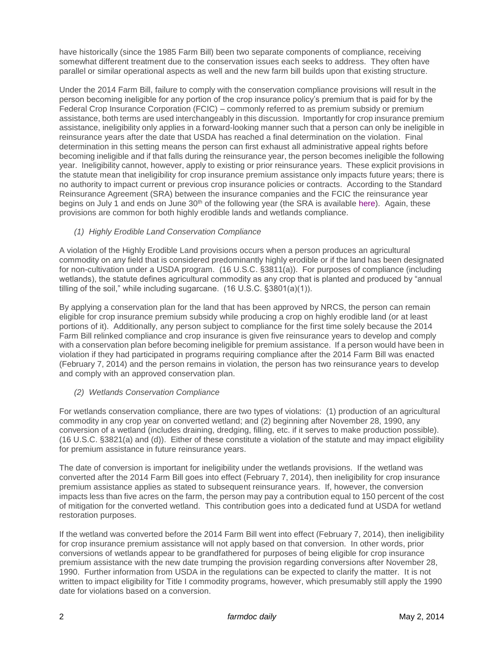have historically (since the 1985 Farm Bill) been two separate components of compliance, receiving somewhat different treatment due to the conservation issues each seeks to address. They often have parallel or similar operational aspects as well and the new farm bill builds upon that existing structure.

Under the 2014 Farm Bill, failure to comply with the conservation compliance provisions will result in the person becoming ineligible for any portion of the crop insurance policy's premium that is paid for by the Federal Crop Insurance Corporation (FCIC) – commonly referred to as premium subsidy or premium assistance, both terms are used interchangeably in this discussion. Importantly for crop insurance premium assistance, ineligibility only applies in a forward-looking manner such that a person can only be ineligible in reinsurance years after the date that USDA has reached a final determination on the violation. Final determination in this setting means the person can first exhaust all administrative appeal rights before becoming ineligible and if that falls during the reinsurance year, the person becomes ineligible the following year. Ineligibility cannot, however, apply to existing or prior reinsurance years. These explicit provisions in the statute mean that ineligibility for crop insurance premium assistance only impacts future years; there is no authority to impact current or previous crop insurance policies or contracts. According to the Standard Reinsurance Agreement (SRA) between the insurance companies and the FCIC the reinsurance year begins on July 1 and ends on June 30<sup>th</sup> of the following year (the SRA is available [here\)](http://www.rma.usda.gov/pubs/ra/). Again, these provisions are common for both highly erodible lands and wetlands compliance.

*(1) Highly Erodible Land Conservation Compliance*

A violation of the Highly Erodible Land provisions occurs when a person produces an agricultural commodity on any field that is considered predominantly highly erodible or if the land has been designated for non-cultivation under a USDA program. (16 U.S.C. §3811(a)). For purposes of compliance (including wetlands), the statute defines agricultural commodity as any crop that is planted and produced by "annual tilling of the soil," while including sugarcane. (16 U.S.C. §3801(a)(1)).

By applying a conservation plan for the land that has been approved by NRCS, the person can remain eligible for crop insurance premium subsidy while producing a crop on highly erodible land (or at least portions of it). Additionally, any person subject to compliance for the first time solely because the 2014 Farm Bill relinked compliance and crop insurance is given five reinsurance years to develop and comply with a conservation plan before becoming ineligible for premium assistance. If a person would have been in violation if they had participated in programs requiring compliance after the 2014 Farm Bill was enacted (February 7, 2014) and the person remains in violation, the person has two reinsurance years to develop and comply with an approved conservation plan.

#### *(2) Wetlands Conservation Compliance*

For wetlands conservation compliance, there are two types of violations: (1) production of an agricultural commodity in any crop year on converted wetland; and (2) beginning after November 28, 1990, any conversion of a wetland (includes draining, dredging, filling, etc. if it serves to make production possible). (16 U.S.C. §3821(a) and (d)). Either of these constitute a violation of the statute and may impact eligibility for premium assistance in future reinsurance years.

The date of conversion is important for ineligibility under the wetlands provisions. If the wetland was converted after the 2014 Farm Bill goes into effect (February 7, 2014), then ineligibility for crop insurance premium assistance applies as stated to subsequent reinsurance years. If, however, the conversion impacts less than five acres on the farm, the person may pay a contribution equal to 150 percent of the cost of mitigation for the converted wetland. This contribution goes into a dedicated fund at USDA for wetland restoration purposes.

If the wetland was converted before the 2014 Farm Bill went into effect (February 7, 2014), then ineligibility for crop insurance premium assistance will not apply based on that conversion. In other words, prior conversions of wetlands appear to be grandfathered for purposes of being eligible for crop insurance premium assistance with the new date trumping the provision regarding conversions after November 28, 1990. Further information from USDA in the regulations can be expected to clarify the matter. It is not written to impact eligibility for Title I commodity programs, however, which presumably still apply the 1990 date for violations based on a conversion.